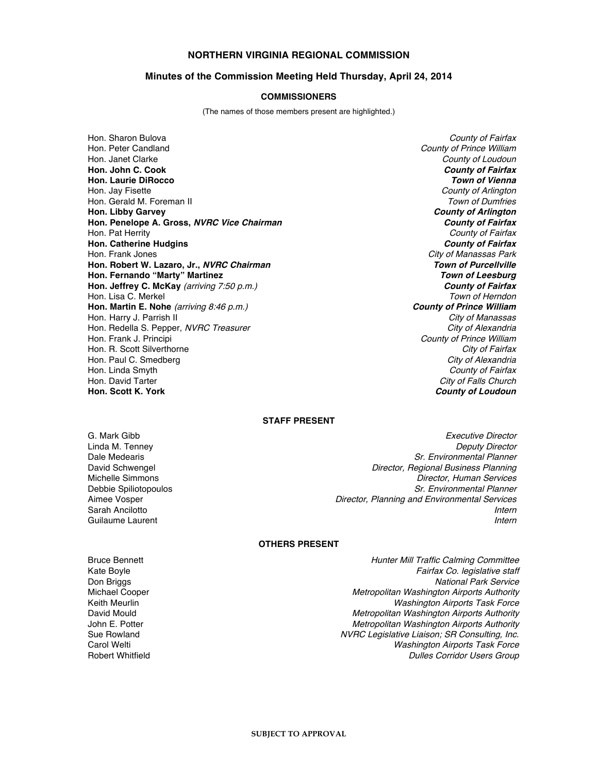## **NORTHERN VIRGINIA REGIONAL COMMISSION**

### **Minutes of the Commission Meeting Held Thursday, April 24, 2014**

#### **COMMISSIONERS**

(The names of those members present are highlighted.)

Hon. Sharon Bulova **County of Fairfax**<br>Hon. Peter Candland County of Fairfax **County of Fairfax** Hon. Janet Clarke County of Loudoun County of Loudoun **Hon. John C. Cook County of Fairfax Hon. Laurie DiRocco Town of Vienna** Hon. Jay Fisette **County of Arlington Hones** County of Arlington Hon. Gerald M. Foreman II Town of Dumfries **Hon. Libby Garvey County of Arlington Hon. Penelope A. Gross, NVRC Vice Chairman County of Fairfax** Hon. Pat Herrity County of Fairfax **Hon. Catherine Hudgins County of Fairfax**<br>
Hon. Frank Jones **County of Fairfax**<br>
Hon. Frank Jones **City of Manassas Park Hon. Robert W. Lazaro, Jr., NVRC Chairman Hon. Fernando "Marty" Martinez Town of Leesburg Hon. Jeffrey C. McKay** (arriving 7:50 p.m.) **County of Fairfax** Hon. Lisa C. Merkel **Town of Herndon Hon. Martin E. Nohe** (arriving 8:46 p.m.) **County of Prince William** Hon. Harry J. Parrish II<br>Hon. Redella S. Pepper. *NVRC Treasurer* New York New York New York New York City of *Alexandria* Hon. Redella S. Pepper, NVRC Treasurer Hon. Frank J. Principi **County of Prince William** Hon. R. Scott Silverthorne City of Fairfax and City of Fairfax and City of Fairfax control of Fairfax control of Fairfax control of Fairfax control of Fairfax control of Fairfax control of Fairfax control of Fairfax contro Hon. Paul C. Smedberg<br>Hon. Linda Smyth Hon. Linda Smyth **County of Fairfax**<br>
Hon. David Tarter **County of Fairfax**<br>
Hon. David Tarter **City of Fails Hon. Scott K. York County of Loudoun**

County of Prince William City of Manassas Park<br>Town of Purcellville City of Falls Church

### **STAFF PRESENT**

G. Mark Gibb **Executive Director** Control of the Security Association Control of the Executive Director Linda M. Tenney Deputy Director **Sr. Environmental Planner** David Schwengel Director, Regional Business Planning Michelle Simmons **Michelle Simmons** Director, Human Services<br>Debbie Spiliotopoulos **Director**, *Sr. Environmental Planner* Debbie Spiliotopoulos<br>Aimee Vosper Serretor, Planning and Environmental Planner<br>Director, Planning and Environmental Services Director, Planning and Environmental Services Sarah Ancilotto **Internet and Ancientes and Ancientes and Ancientes and Ancientes and Ancientes and Ancientes and Ancientes and Ancientes and Ancientes and Ancientes and Ancientes and Ancientes and Ancientes and Ancientes** Guilaume Laurent **Internet Communist Communist Communist Communist Communist Communist Communist Communist Communist Communist Communist Communist Communist Communist Communist Communist Communist Communist Communist Commu** 

## **OTHERS PRESENT**

Bruce Bennett **Hunter Mill Traffic Calming Committee** Kate Boyle **Fairfax Co.** legislative staff<br>
Don Briggs **Fairfax Co.** legislative staff<br>
National Park Service Don Briggs National Park Service<br>Michael Cooper National Park Service (National Park Service of National Park Service of National Park Service Metropolitan Washington Airports Authority Keith Meurlin Neurlin (Keith Meurlin Internation Airports Task Force Internation Airports Task Force Internatio<br>David Mould Netropolitan Washington Airports Authority David Mould Mould (David Metropolitan Washington Airports Authority<br>John E. Potter (David Metropolitan Washington Airports Authority Metropolitan Washington Airports Authority Sue Rowland **NURC Legislative Liaison; SR Consulting, Inc.** NURC Legislative Liaison; SR Consulting, Inc. Carol Welti **Carol Washington Airports Task Force Carol** Washington Airports Task Force Robert Whitfield **Robert Whitfield** Dulles Corridor Users Group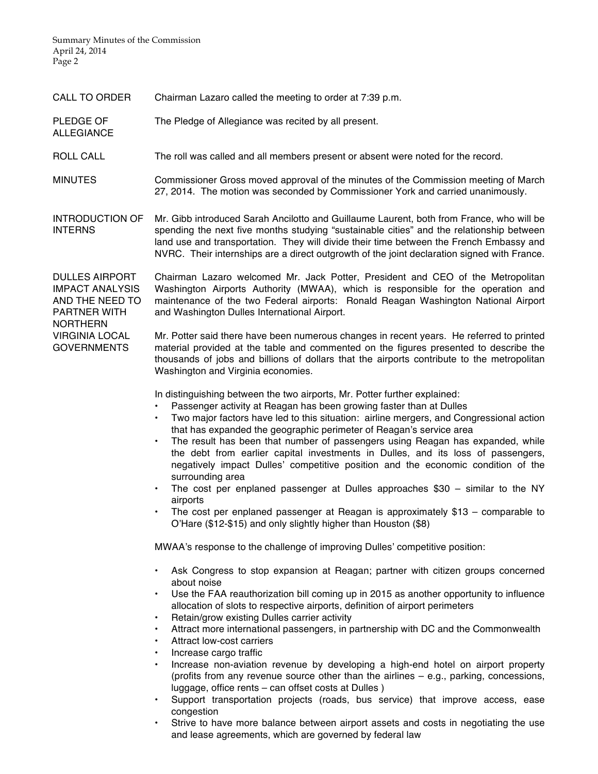ALLEGIANCE

| <b>CALL TO ORDER</b> | Chairman Lazaro called the meeting to order at 7:39 p.m. |  |
|----------------------|----------------------------------------------------------|--|
|                      |                                                          |  |

PLEDGE OF The Pledge of Allegiance was recited by all present.

ROLL CALL The roll was called and all members present or absent were noted for the record.

MINUTES Commissioner Gross moved approval of the minutes of the Commission meeting of March 27, 2014. The motion was seconded by Commissioner York and carried unanimously.

INTRODUCTION OF INTERNS Mr. Gibb introduced Sarah Ancilotto and Guillaume Laurent, both from France, who will be spending the next five months studying "sustainable cities" and the relationship between land use and transportation. They will divide their time between the French Embassy and NVRC. Their internships are a direct outgrowth of the joint declaration signed with France.

DULLES AIRPORT IMPACT ANALYSIS AND THE NEED TO PARTNER WITH NORTHERN Chairman Lazaro welcomed Mr. Jack Potter, President and CEO of the Metropolitan Washington Airports Authority (MWAA), which is responsible for the operation and maintenance of the two Federal airports: Ronald Reagan Washington National Airport and Washington Dulles International Airport.

VIRGINIA LOCAL GOVERNMENTS Mr. Potter said there have been numerous changes in recent years. He referred to printed material provided at the table and commented on the figures presented to describe the thousands of jobs and billions of dollars that the airports contribute to the metropolitan Washington and Virginia economies.

In distinguishing between the two airports, Mr. Potter further explained:

- Passenger activity at Reagan has been growing faster than at Dulles
- Two major factors have led to this situation: airline mergers, and Congressional action that has expanded the geographic perimeter of Reagan's service area
- The result has been that number of passengers using Reagan has expanded, while the debt from earlier capital investments in Dulles, and its loss of passengers, negatively impact Dulles' competitive position and the economic condition of the surrounding area
- The cost per enplaned passenger at Dulles approaches \$30 similar to the NY airports
- The cost per enplaned passenger at Reagan is approximately \$13 comparable to O'Hare (\$12-\$15) and only slightly higher than Houston (\$8)

MWAA's response to the challenge of improving Dulles' competitive position:

- Ask Congress to stop expansion at Reagan; partner with citizen groups concerned about noise
- Use the FAA reauthorization bill coming up in 2015 as another opportunity to influence allocation of slots to respective airports, definition of airport perimeters
- Retain/grow existing Dulles carrier activity
- Attract more international passengers, in partnership with DC and the Commonwealth
- Attract low-cost carriers
- Increase cargo traffic
- Increase non-aviation revenue by developing a high-end hotel on airport property (profits from any revenue source other than the airlines – e.g., parking, concessions, luggage, office rents – can offset costs at Dulles )
- Support transportation projects (roads, bus service) that improve access, ease congestion
- Strive to have more balance between airport assets and costs in negotiating the use and lease agreements, which are governed by federal law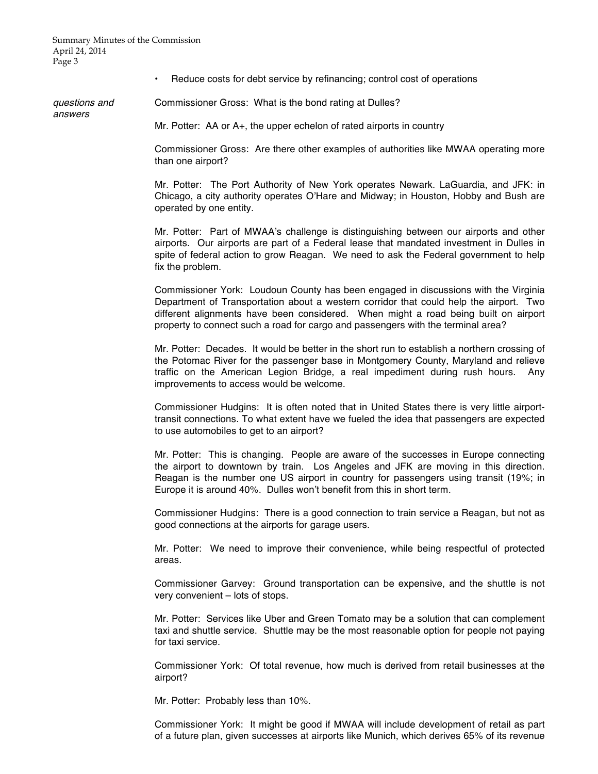answers

• Reduce costs for debt service by refinancing; control cost of operations

questions and Commissioner Gross: What is the bond rating at Dulles?

Mr. Potter: AA or A+, the upper echelon of rated airports in country

Commissioner Gross: Are there other examples of authorities like MWAA operating more than one airport?

Mr. Potter: The Port Authority of New York operates Newark. LaGuardia, and JFK: in Chicago, a city authority operates O'Hare and Midway; in Houston, Hobby and Bush are operated by one entity.

Mr. Potter: Part of MWAA's challenge is distinguishing between our airports and other airports. Our airports are part of a Federal lease that mandated investment in Dulles in spite of federal action to grow Reagan. We need to ask the Federal government to help fix the problem.

Commissioner York: Loudoun County has been engaged in discussions with the Virginia Department of Transportation about a western corridor that could help the airport. Two different alignments have been considered. When might a road being built on airport property to connect such a road for cargo and passengers with the terminal area?

Mr. Potter: Decades. It would be better in the short run to establish a northern crossing of the Potomac River for the passenger base in Montgomery County, Maryland and relieve traffic on the American Legion Bridge, a real impediment during rush hours. Any improvements to access would be welcome.

Commissioner Hudgins: It is often noted that in United States there is very little airporttransit connections. To what extent have we fueled the idea that passengers are expected to use automobiles to get to an airport?

Mr. Potter: This is changing. People are aware of the successes in Europe connecting the airport to downtown by train. Los Angeles and JFK are moving in this direction. Reagan is the number one US airport in country for passengers using transit (19%; in Europe it is around 40%. Dulles won't benefit from this in short term.

Commissioner Hudgins: There is a good connection to train service a Reagan, but not as good connections at the airports for garage users.

Mr. Potter: We need to improve their convenience, while being respectful of protected areas.

Commissioner Garvey: Ground transportation can be expensive, and the shuttle is not very convenient – lots of stops.

Mr. Potter: Services like Uber and Green Tomato may be a solution that can complement taxi and shuttle service. Shuttle may be the most reasonable option for people not paying for taxi service.

Commissioner York: Of total revenue, how much is derived from retail businesses at the airport?

Mr. Potter: Probably less than 10%.

Commissioner York: It might be good if MWAA will include development of retail as part of a future plan, given successes at airports like Munich, which derives 65% of its revenue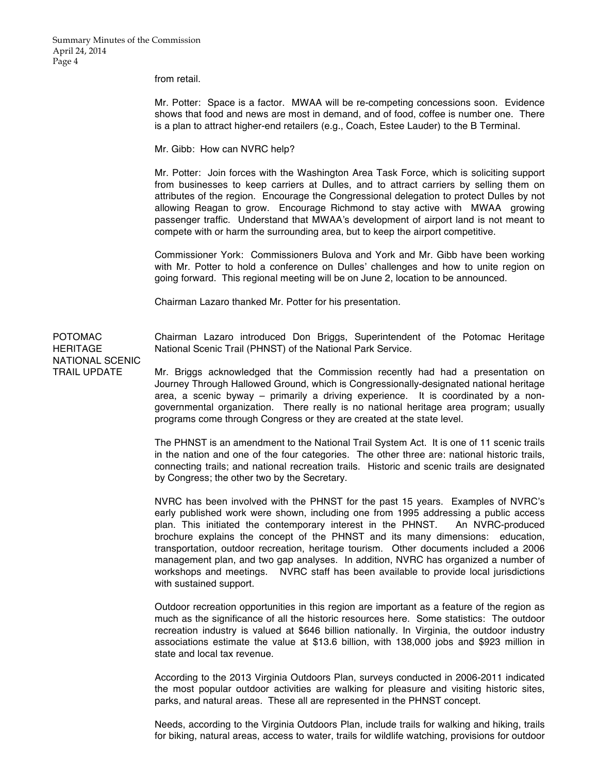from retail.

Mr. Potter: Space is a factor. MWAA will be re-competing concessions soon. Evidence shows that food and news are most in demand, and of food, coffee is number one. There is a plan to attract higher-end retailers (e.g., Coach, Estee Lauder) to the B Terminal.

Mr. Gibb: How can NVRC help?

Mr. Potter: Join forces with the Washington Area Task Force, which is soliciting support from businesses to keep carriers at Dulles, and to attract carriers by selling them on attributes of the region. Encourage the Congressional delegation to protect Dulles by not allowing Reagan to grow. Encourage Richmond to stay active with MWAA growing passenger traffic. Understand that MWAA's development of airport land is not meant to compete with or harm the surrounding area, but to keep the airport competitive.

Commissioner York: Commissioners Bulova and York and Mr. Gibb have been working with Mr. Potter to hold a conference on Dulles' challenges and how to unite region on going forward. This regional meeting will be on June 2, location to be announced.

Chairman Lazaro thanked Mr. Potter for his presentation.

Chairman Lazaro introduced Don Briggs, Superintendent of the Potomac Heritage National Scenic Trail (PHNST) of the National Park Service.

POTOMAC **HERITAGE** NATIONAL SCENIC TRAIL UPDATE

Mr. Briggs acknowledged that the Commission recently had had a presentation on Journey Through Hallowed Ground, which is Congressionally-designated national heritage area, a scenic byway – primarily a driving experience. It is coordinated by a nongovernmental organization. There really is no national heritage area program; usually programs come through Congress or they are created at the state level.

The PHNST is an amendment to the National Trail System Act. It is one of 11 scenic trails in the nation and one of the four categories. The other three are: national historic trails, connecting trails; and national recreation trails. Historic and scenic trails are designated by Congress; the other two by the Secretary.

NVRC has been involved with the PHNST for the past 15 years. Examples of NVRC's early published work were shown, including one from 1995 addressing a public access plan. This initiated the contemporary interest in the PHNST. An NVRC-produced brochure explains the concept of the PHNST and its many dimensions: education, transportation, outdoor recreation, heritage tourism. Other documents included a 2006 management plan, and two gap analyses. In addition, NVRC has organized a number of workshops and meetings. NVRC staff has been available to provide local jurisdictions with sustained support.

Outdoor recreation opportunities in this region are important as a feature of the region as much as the significance of all the historic resources here. Some statistics: The outdoor recreation industry is valued at \$646 billion nationally. In Virginia, the outdoor industry associations estimate the value at \$13.6 billion, with 138,000 jobs and \$923 million in state and local tax revenue.

According to the 2013 Virginia Outdoors Plan, surveys conducted in 2006-2011 indicated the most popular outdoor activities are walking for pleasure and visiting historic sites, parks, and natural areas. These all are represented in the PHNST concept.

Needs, according to the Virginia Outdoors Plan, include trails for walking and hiking, trails for biking, natural areas, access to water, trails for wildlife watching, provisions for outdoor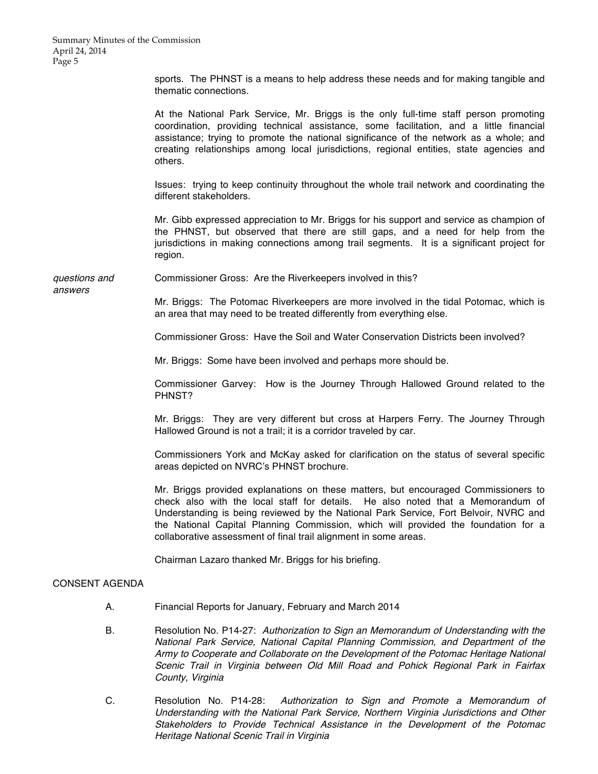sports. The PHNST is a means to help address these needs and for making tangible and thematic connections.

At the National Park Service, Mr. Briggs is the only full-time staff person promoting coordination, providing technical assistance, some facilitation, and a little financial assistance; trying to promote the national significance of the network as a whole; and creating relationships among local jurisdictions, regional entities, state agencies and others.

Issues: trying to keep continuity throughout the whole trail network and coordinating the different stakeholders.

Mr. Gibb expressed appreciation to Mr. Briggs for his support and service as champion of the PHNST, but observed that there are still gaps, and a need for help from the jurisdictions in making connections among trail segments. It is a significant project for region.

questions and Commissioner Gross: Are the Riverkeepers involved in this?

answers

Mr. Briggs: The Potomac Riverkeepers are more involved in the tidal Potomac, which is an area that may need to be treated differently from everything else.

Commissioner Gross: Have the Soil and Water Conservation Districts been involved?

Mr. Briggs: Some have been involved and perhaps more should be.

Commissioner Garvey: How is the Journey Through Hallowed Ground related to the PHNST?

Mr. Briggs: They are very different but cross at Harpers Ferry. The Journey Through Hallowed Ground is not a trail; it is a corridor traveled by car.

Commissioners York and McKay asked for clarification on the status of several specific areas depicted on NVRC's PHNST brochure.

Mr. Briggs provided explanations on these matters, but encouraged Commissioners to check also with the local staff for details. He also noted that a Memorandum of Understanding is being reviewed by the National Park Service, Fort Belvoir, NVRC and the National Capital Planning Commission, which will provided the foundation for a collaborative assessment of final trail alignment in some areas.

Chairman Lazaro thanked Mr. Briggs for his briefing.

# CONSENT AGENDA

- A. Financial Reports for January, February and March 2014
- B. Resolution No. P14-27: Authorization to Sign an Memorandum of Understanding with the National Park Service, National Capital Planning Commission, and Department of the Army to Cooperate and Collaborate on the Development of the Potomac Heritage National Scenic Trail in Virginia between Old Mill Road and Pohick Regional Park in Fairfax County, Virginia
- C. Resolution No. P14-28: Authorization to Sign and Promote <sup>a</sup> Memorandum of Understanding with the National Park Service, Northern Virginia Jurisdictions and Other Stakeholders to Provide Technical Assistance in the Development of the Potomac Heritage National Scenic Trail in Virginia